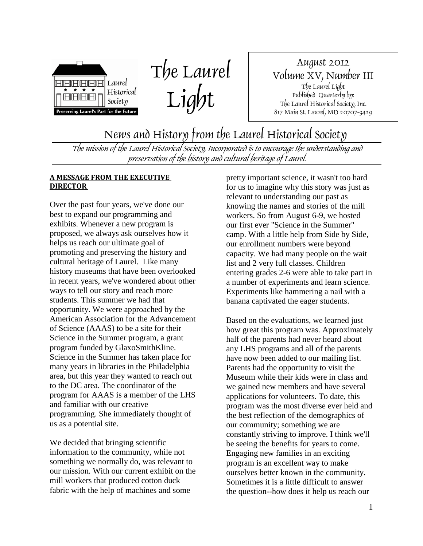

The Laurel Light

August 2012 Volume XV, Number III The Laurel Light Published Quarterly by: The Laurel Historical Society, Inc. 817 Main St. Laurel, MD 20707-3429

News and History from the Laurel Historical Society

The mission of the Laurel Historical Society, Incorporated is to encourage the understanding and preservation of the history and cultural heritage of Laurel.

#### **A MESSAGE FROM THE EXECUTIVE DIRECTOR**

Over the past four years, we've done our best to expand our programming and exhibits. Whenever a new program is proposed, we always ask ourselves how it helps us reach our ultimate goal of promoting and preserving the history and cultural heritage of Laurel. Like many history museums that have been overlooked in recent years, we've wondered about other ways to tell our story and reach more students. This summer we had that opportunity. We were approached by the American Association for the Advancement of Science (AAAS) to be a site for their Science in the Summer program, a grant program funded by GlaxoSmithKline. Science in the Summer has taken place for many years in libraries in the Philadelphia area, but this year they wanted to reach out to the DC area. The coordinator of the program for AAAS is a member of the LHS and familiar with our creative programming. She immediately thought of us as a potential site.

We decided that bringing scientific information to the community, while not something we normally do, was relevant to our mission. With our current exhibit on the mill workers that produced cotton duck fabric with the help of machines and some

pretty important science, it wasn't too hard for us to imagine why this story was just as relevant to understanding our past as knowing the names and stories of the mill workers. So from August 6-9, we hosted our first ever "Science in the Summer" camp. With a little help from Side by Side, our enrollment numbers were beyond capacity. We had many people on the wait list and 2 very full classes. Children entering grades 2-6 were able to take part in a number of experiments and learn science. Experiments like hammering a nail with a banana captivated the eager students.

Based on the evaluations, we learned just how great this program was. Approximately half of the parents had never heard about any LHS programs and all of the parents have now been added to our mailing list. Parents had the opportunity to visit the Museum while their kids were in class and we gained new members and have several applications for volunteers. To date, this program was the most diverse ever held and the best reflection of the demographics of our community; something we are constantly striving to improve. I think we'll be seeing the benefits for years to come. Engaging new families in an exciting program is an excellent way to make ourselves better known in the community. Sometimes it is a little difficult to answer the question--how does it help us reach our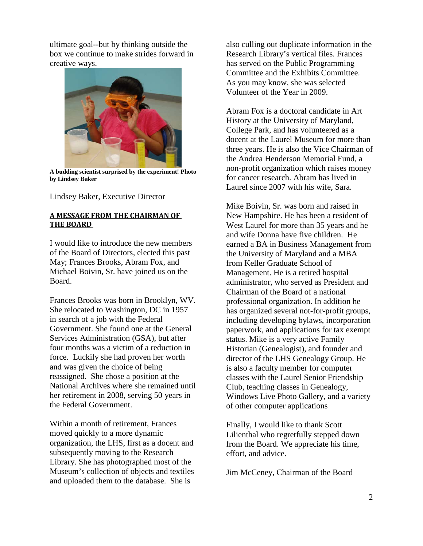ultimate goal--but by thinking outside the box we continue to make strides forward in creative ways.



**A budding scientist surprised by the experiment! Photo by Lindsey Baker**

Lindsey Baker, Executive Director

#### **A MESSAGE FROM THE CHAIRMAN OF THE BOARD**

I would like to introduce the new members of the Board of Directors, elected this past May; Frances Brooks, Abram Fox, and Michael Boivin, Sr. have joined us on the Board.

Frances Brooks was born in Brooklyn, WV. She relocated to Washington, DC in 1957 in search of a job with the Federal Government. She found one at the General Services Administration (GSA), but after four months was a victim of a reduction in force. Luckily she had proven her worth and was given the choice of being reassigned. She chose a position at the National Archives where she remained until her retirement in 2008, serving 50 years in the Federal Government.

Within a month of retirement, Frances moved quickly to a more dynamic organization, the LHS, first as a docent and subsequently moving to the Research Library. She has photographed most of the Museum's collection of objects and textiles and uploaded them to the database. She is

also culling out duplicate information in the Research Library's vertical files. Frances has served on the Public Programming Committee and the Exhibits Committee. As you may know, she was selected Volunteer of the Year in 2009.

Abram Fox is a doctoral candidate in Art History at the University of Maryland, College Park, and has volunteered as a docent at the Laurel Museum for more than three years. He is also the Vice Chairman of the Andrea Henderson Memorial Fund, a non-profit organization which raises money for cancer research. Abram has lived in Laurel since 2007 with his wife, Sara.

Mike Boivin, Sr. was born and raised in New Hampshire. He has been a resident of West Laurel for more than 35 years and he and wife Donna have five children. He earned a BA in Business Management from the University of Maryland and a MBA from Keller Graduate School of Management. He is a retired hospital administrator, who served as President and Chairman of the Board of a national professional organization. In addition he has organized several not-for-profit groups, including developing bylaws, incorporation paperwork, and applications for tax exempt status. Mike is a very active Family Historian (Genealogist), and founder and director of the LHS Genealogy Group. He is also a faculty member for computer classes with the Laurel Senior Friendship Club, teaching classes in Genealogy, Windows Live Photo Gallery, and a variety of other computer applications

Finally, I would like to thank Scott Lilienthal who regretfully stepped down from the Board. We appreciate his time, effort, and advice.

Jim McCeney, Chairman of the Board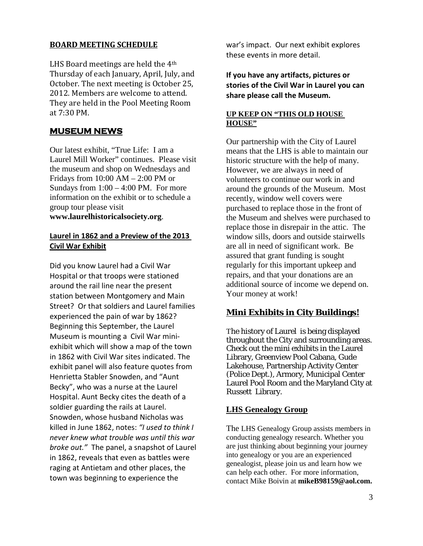#### **BOARD MEETING SCHEDULE**

LHS Board meetings are held the 4th Thursday of each January, April, July, and October. The next meeting is October 25, 2012. Members are welcome to attend. They are held in the Pool Meeting Room at 7:30 PM.

## **MUSEUM NEWS**

Our latest exhibit, "True Life: I am a Laurel Mill Worker" continues. Please visit the museum and shop on Wednesdays and Fridays from 10:00 AM – 2:00 PM or Sundays from  $1:00 - 4:00$  PM. For more information on the exhibit or to schedule a group tour please visit **www.laurelhistoricalsociety.org**.

#### **Laurel in 1862 and a Preview of the 2013 Civil War Exhibit**

Did you know Laurel had a Civil War Hospital or that troops were stationed around the rail line near the present station between Montgomery and Main Street? Or that soldiers and Laurel families experienced the pain of war by 1862? Beginning this September, the Laurel Museum is mounting a Civil War miniexhibit which will show a map of the town in 1862 with Civil War sites indicated. The exhibit panel will also feature quotes from Henrietta Stabler Snowden, and "Aunt Becky", who was a nurse at the Laurel Hospital. Aunt Becky cites the death of a soldier guarding the rails at Laurel. Snowden, whose husband Nicholas was killed in June 1862, notes: *"I used to think I never knew what trouble was until this war broke out."* The panel, a snapshot of Laurel in 1862, reveals that even as battles were raging at Antietam and other places, the town was beginning to experience the

war's impact. Our next exhibit explores these events in more detail.

**If you have any artifacts, pictures or stories of the Civil War in Laurel you can share please call the Museum.**

#### **UP KEEP ON "THIS OLD HOUSE HOUSE"**

Our partnership with the City of Laurel means that the LHS is able to maintain our historic structure with the help of many. However, we are always in need of volunteers to continue our work in and around the grounds of the Museum. Most recently, window well covers were purchased to replace those in the front of the Museum and shelves were purchased to replace those in disrepair in the attic. The window sills, doors and outside stairwells are all in need of significant work. Be assured that grant funding is sought regularly for this important upkeep and repairs, and that your donations are an additional source of income we depend on. Your money at work!

# **Mini Exhibits in City Buildings!**

The history of Laurel is being displayed throughout the City and surrounding areas. Check out the mini exhibits in the Laurel Library, Greenview Pool Cabana, Gude Lakehouse, Partnership Activity Center (Police Dept.), Armory, Municipal Center Laurel Pool Room and the Maryland City at Russett Library.

## **LHS Genealogy Group**

The LHS Genealogy Group assists members in conducting genealogy research. Whether you are just thinking about beginning your journey into genealogy or you are an experienced genealogist, please join us and learn how we can help each other. For more information, contact Mike Boivin at **mikeB98159@aol.com.**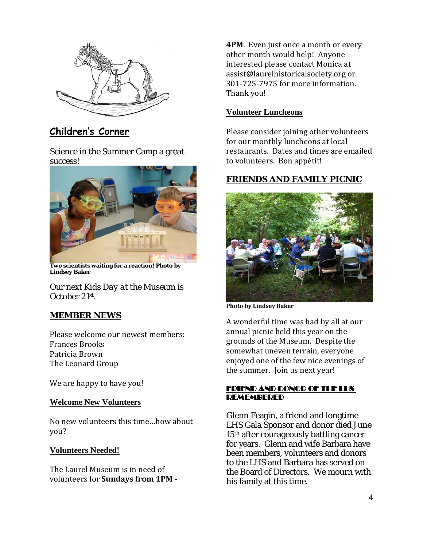

**Children's Corner**

Science in the Summer Camp a great success!



**Two scientists waiting for a reaction! Photo by Lindsey Baker**

Our next *Kids Day at the Museum* is October 21st.

# **MEMBER NEWS**

Please welcome our newest members: Frances Brooks Patricia Brown The Leonard Group

We are happy to have you!

## **Welcome New Volunteers**

No new volunteers this time…how about you?

## **Volunteers Needed!**

The Laurel Museum is in need of volunteers for **Sundays from 1PM -** **4PM.** Even just once a month or every other month would help! Anyone interested please contact Monica at assist@laurelhistoricalsociety.org or 301-725-7975 for more information. Thank you!

#### **Volunteer Luncheons**

Please consider joining other volunteers for our monthly luncheons at local restaurants. Dates and times are emailed to volunteers. Bon appétit!

# **FRIENDS AND FAMILY PICNIC**



**Photo by Lindsey Baker**

A wonderful time was had by all at our annual picnic held this year on the grounds of the Museum. Despite the somewhat uneven terrain, everyone enjoyed one of the few nice evenings of the summer. Join us next year!

#### FRIEND AND DONOR OF THE LHS REMEMBERED

Glenn Feagin, a friend and longtime LHS Gala Sponsor and donor died June 15th after courageously battling cancer for years. Glenn and wife Barbara have been members, volunteers and donors to the LHS and Barbara has served on the Board of Directors. We mourn with his family at this time.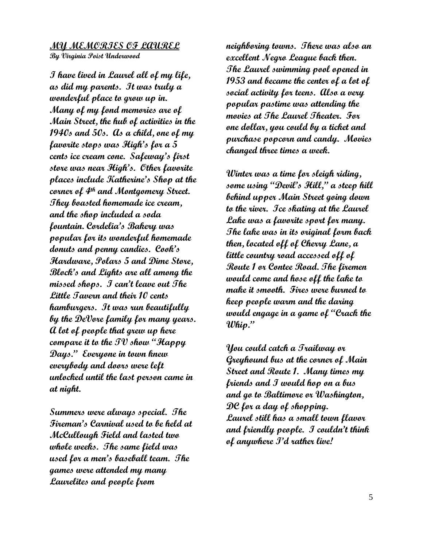## **MY MEMORIES OF LAUREL**

**By Virginia Poist Underwood**

**I have lived in Laurel all of my life, as did my parents. It was truly a wonderful place to grow up in. Many of my fond memories are of Main Street, the hub of activities in the 1940s and 50s. As a child, one of my favorite stops was High's for a 5 cents ice cream cone. Safeway's first store was near High's. Other favorite places include Katherine's Shop at the corner of 4th and Montgomery Street. They boasted homemade ice cream, and the shop included a soda fountain. Cordelia's Bakery was popular for its wonderful homemade donuts and penny candies. Cook's Hardware, Polars 5 and Dime Store, Block's and Lights are all among the missed shops. I can't leave out The Little Tavern and their 10 cents hamburgers. It was run beautifully by the DeVore family for many years. A lot of people that grew up here compare it to the TV show "Happy Days." Everyone in town knew everybody and doors were left unlocked until the last person came in at night.** 

**Summers were always special. The Fireman's Carnival used to be held at McCullough Field and lasted two whole weeks. The same field was used for a men's baseball team. The games were attended my many Laurelites and people from** 

**neighboring towns. There was also an excellent Negro League back then. The Laurel swimming pool opened in 1953 and became the center of a lot of social activity for teens. Also a very popular pastime was attending the movies at The Laurel Theater. For one dollar, you could by a ticket and purchase popcorn and candy. Movies changed three times a week.**

**Winter was a time for sleigh riding, some using "Devil's Hill," a steep hill behind upper Main Street going down to the river. Ice skating at the Laurel Lake was a favorite sport for many. The lake was in its original form back then, located off of Cherry Lane, a little country road accessed off of Route 1 or Contee Road. The firemen would come and hose off the lake to make it smooth. Fires were burned to keep people warm and the daring would engage in a game of "Crack the Whip."**

**You could catch a Trailway or Greyhound bus at the corner of Main Street and Route 1. Many times my friends and I would hop on a bus and go to Baltimore or Washington, DC for a day of shopping. Laurel still has a small town flavor and friendly people. I couldn't think of anywhere I'd rather live!**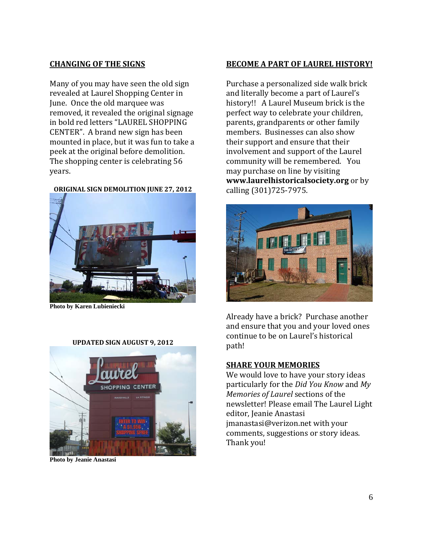#### **CHANGING OF THE SIGNS**

Many of you may have seen the old sign revealed at Laurel Shopping Center in June. Once the old marquee was removed, it revealed the original signage in bold red letters "LAUREL SHOPPING CENTER". A brand new sign has been mounted in place, but it was fun to take a peek at the original before demolition. The shopping center is celebrating 56 years.

**ORIGINAL SIGN DEMOLITION JUNE 27, 2012**



**Photo by Karen Lubieniecki**

#### **UPDATED SIGN AUGUST 9, 2012**



**Photo by Jeanie Anastasi**

#### **BECOME A PART OF LAUREL HISTORY!**

Purchase a personalized side walk brick and literally become a part of Laurel's history!! A Laurel Museum brick is the perfect way to celebrate your children, parents, grandparents or other family members. Businesses can also show their support and ensure that their involvement and support of the Laurel community will be remembered. You may purchase on line by visiting **www.laurelhistoricalsociety.org** or by calling (301)725-7975.



Already have a brick? Purchase another and ensure that you and your loved ones continue to be on Laurel's historical path!

#### **SHARE YOUR MEMORIES**

We would love to have your story ideas particularly for the *Did You Know* and *My Memories of Laurel* sections of the newsletter! Please email The Laurel Light editor, Jeanie Anastasi jmanastasi@verizon.net with your comments, suggestions or story ideas. Thank you!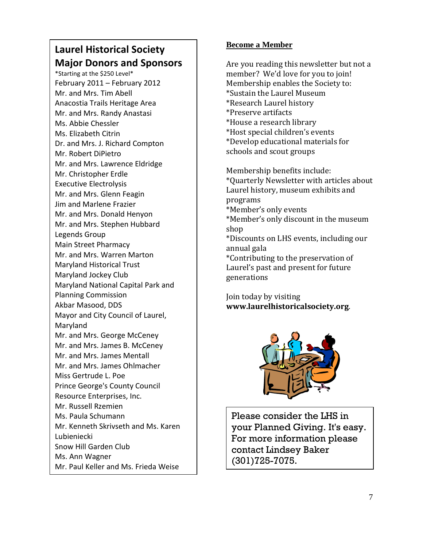# **Laurel Historical Society Major Donors and Sponsors**

\*Starting at the \$250 Level\* February 2011 – February 2012 Mr. and Mrs. Tim Abell Anacostia Trails Heritage Area Mr. and Mrs. Randy Anastasi Ms. Abbie Chessler Ms. Elizabeth Citrin Dr. and Mrs. J. Richard Compton Mr. Robert DiPietro Mr. and Mrs. Lawrence Eldridge Mr. Christopher Erdle Executive Electrolysis Mr. and Mrs. Glenn Feagin Jim and Marlene Frazier Mr. and Mrs. Donald Henyon Mr. and Mrs. Stephen Hubbard Legends Group Main Street Pharmacy Mr. and Mrs. Warren Marton Maryland Historical Trust Maryland Jockey Club Maryland National Capital Park and Planning Commission Akbar Masood, DDS Mayor and City Council of Laurel, Maryland Mr. and Mrs. George McCeney Mr. and Mrs. James B. McCeney Mr. and Mrs. James Mentall Mr. and Mrs. James Ohlmacher Miss Gertrude L. Poe Prince George's County Council Resource Enterprises, Inc. Mr. Russell Rzemien Ms. Paula Schumann Mr. Kenneth Skrivseth and Ms. Karen Lubieniecki Snow Hill Garden Club Ms. Ann Wagner Mr. Paul Keller and Ms. Frieda Weise

# **Become a Member**

Are you reading this newsletter but not a member? We'd love for you to join! Membership enables the Society to: \*Sustain the Laurel Museum \*Research Laurel history \*Preserve artifacts \*House a research library \*Host special children's events \*Develop educational materials for schools and scout groups

Membership benefits include: \*Quarterly Newsletter with articles about Laurel history, museum exhibits and programs \*Member's only events \*Member's only discount in the museum shop \*Discounts on LHS events, including our annual gala \*Contributing to the preservation of Laurel's past and present for future generations

Join today by visiting **www.laurelhistoricalsociety.org**.



Please consider the LHS in your Planned Giving. It's easy. For more information please contact Lindsey Baker (301)725-7075.